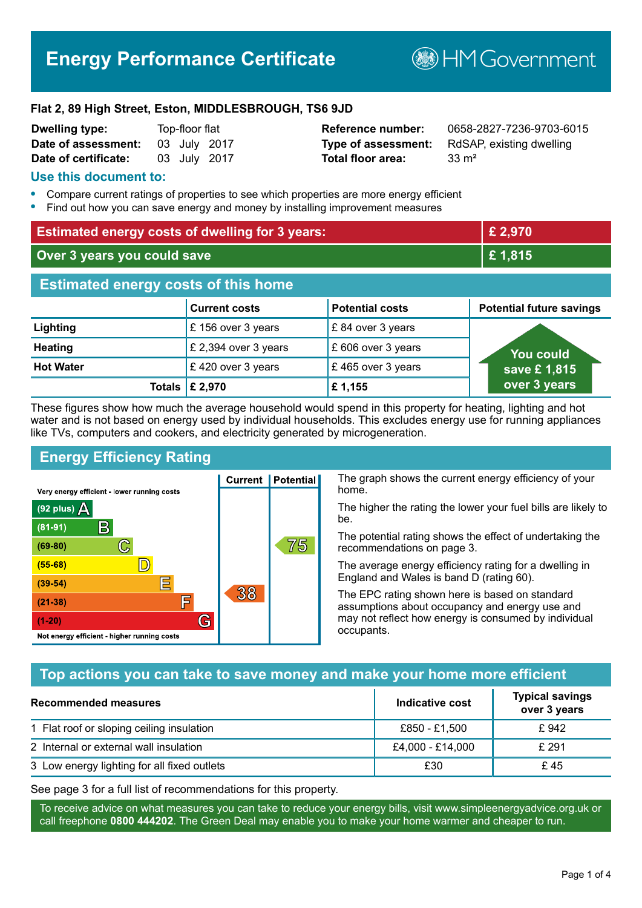# **Energy Performance Certificate**

**B**HM Government

#### **Flat 2, 89 High Street, Eston, MIDDLESBROUGH, TS6 9JD**

| <b>Dwelling type:</b> | Top-floor flat |              |
|-----------------------|----------------|--------------|
| Date of assessment:   |                | 03 July 2017 |
| Date of certificate:  |                | 03 July 2017 |

# **Total floor area:** 33 m<sup>2</sup>

**Reference number:** 0658-2827-7236-9703-6015 **Type of assessment:** RdSAP, existing dwelling

### **Use this document to:**

- **•** Compare current ratings of properties to see which properties are more energy efficient
- **•** Find out how you can save energy and money by installing improvement measures

| <b>Estimated energy costs of dwelling for 3 years:</b> |                           | £ 2,970                |                                 |
|--------------------------------------------------------|---------------------------|------------------------|---------------------------------|
| Over 3 years you could save                            |                           | £1,815                 |                                 |
| <b>Estimated energy costs of this home</b>             |                           |                        |                                 |
|                                                        | <b>Current costs</b>      | <b>Potential costs</b> | <b>Potential future savings</b> |
| Lighting                                               | £156 over 3 years         | £84 over 3 years       |                                 |
| <b>Heating</b>                                         | £ 2,394 over 3 years      | £606 over 3 years      | <b>You could</b>                |
| <b>Hot Water</b>                                       | £420 over 3 years         | £465 over 3 years      | save £1,815                     |
|                                                        | Totals $\mathsf{E}$ 2,970 | £1,155                 | over 3 years                    |

These figures show how much the average household would spend in this property for heating, lighting and hot water and is not based on energy used by individual households. This excludes energy use for running appliances like TVs, computers and cookers, and electricity generated by microgeneration.

**Current | Potential** 

38

# **Energy Efficiency Rating**

 $\mathbb{C}$ 

 $\mathbb{D}$ 

巨

眉

G

Very energy efficient - lower running costs

R

Not energy efficient - higher running costs

(92 plus)  $\Delta$ 

 $(81 - 91)$ 

 $(69 - 80)$ 

 $(55-68)$ 

 $(39 - 54)$ 

 $(21-38)$ 

 $(1-20)$ 

The graph shows the current energy efficiency of your home.

The higher the rating the lower your fuel bills are likely to be.

The potential rating shows the effect of undertaking the recommendations on page 3.

The average energy efficiency rating for a dwelling in England and Wales is band D (rating 60).

The EPC rating shown here is based on standard assumptions about occupancy and energy use and may not reflect how energy is consumed by individual occupants.

# **Top actions you can take to save money and make your home more efficient**

75

| Recommended measures                        | Indicative cost  | <b>Typical savings</b><br>over 3 years |
|---------------------------------------------|------------------|----------------------------------------|
| 1 Flat roof or sloping ceiling insulation   | £850 - £1,500    | £ 942                                  |
| 2 Internal or external wall insulation      | £4,000 - £14,000 | £ 291                                  |
| 3 Low energy lighting for all fixed outlets | £30              | £45                                    |

See page 3 for a full list of recommendations for this property.

To receive advice on what measures you can take to reduce your energy bills, visit www.simpleenergyadvice.org.uk or call freephone **0800 444202**. The Green Deal may enable you to make your home warmer and cheaper to run.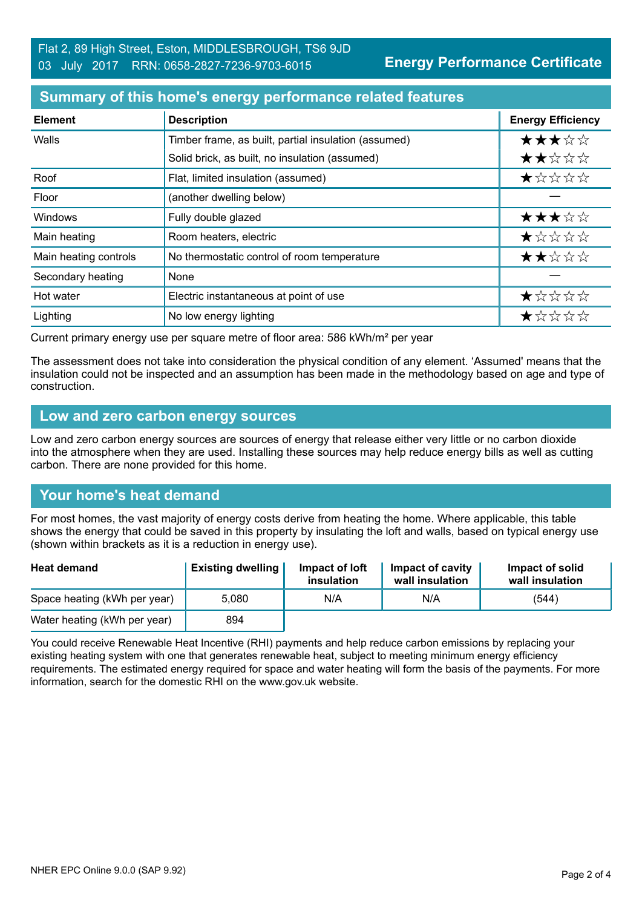**Energy Performance Certificate**

### **Summary of this home's energy performance related features**

| <b>Element</b>        | <b>Description</b>                                   | <b>Energy Efficiency</b> |
|-----------------------|------------------------------------------------------|--------------------------|
| Walls                 | Timber frame, as built, partial insulation (assumed) | ★★★☆☆                    |
|                       | Solid brick, as built, no insulation (assumed)       | ★★☆☆☆                    |
| Roof                  | Flat, limited insulation (assumed)                   | $\star$ * * * *          |
| Floor                 | (another dwelling below)                             |                          |
| <b>Windows</b>        | Fully double glazed                                  | ★★★☆☆                    |
| Main heating          | Room heaters, electric                               | ★☆☆☆☆                    |
| Main heating controls | No thermostatic control of room temperature          | ★★☆☆☆                    |
| Secondary heating     | None                                                 |                          |
| Hot water             | Electric instantaneous at point of use               | ★☆☆☆☆                    |
| Lighting              | No low energy lighting                               | ★☆☆☆☆                    |

Current primary energy use per square metre of floor area: 586 kWh/m² per year

The assessment does not take into consideration the physical condition of any element. 'Assumed' means that the insulation could not be inspected and an assumption has been made in the methodology based on age and type of construction.

#### **Low and zero carbon energy sources**

Low and zero carbon energy sources are sources of energy that release either very little or no carbon dioxide into the atmosphere when they are used. Installing these sources may help reduce energy bills as well as cutting carbon. There are none provided for this home.

# **Your home's heat demand**

For most homes, the vast majority of energy costs derive from heating the home. Where applicable, this table shows the energy that could be saved in this property by insulating the loft and walls, based on typical energy use (shown within brackets as it is a reduction in energy use).

| <b>Heat demand</b>           | <b>Existing dwelling</b> | Impact of loft<br>insulation | Impact of cavity<br>wall insulation | Impact of solid<br>wall insulation |
|------------------------------|--------------------------|------------------------------|-------------------------------------|------------------------------------|
| Space heating (kWh per year) | 5.080                    | N/A                          | N/A                                 | (544)                              |
| Water heating (kWh per year) | 894                      |                              |                                     |                                    |

You could receive Renewable Heat Incentive (RHI) payments and help reduce carbon emissions by replacing your existing heating system with one that generates renewable heat, subject to meeting minimum energy efficiency requirements. The estimated energy required for space and water heating will form the basis of the payments. For more information, search for the domestic RHI on the www.gov.uk website.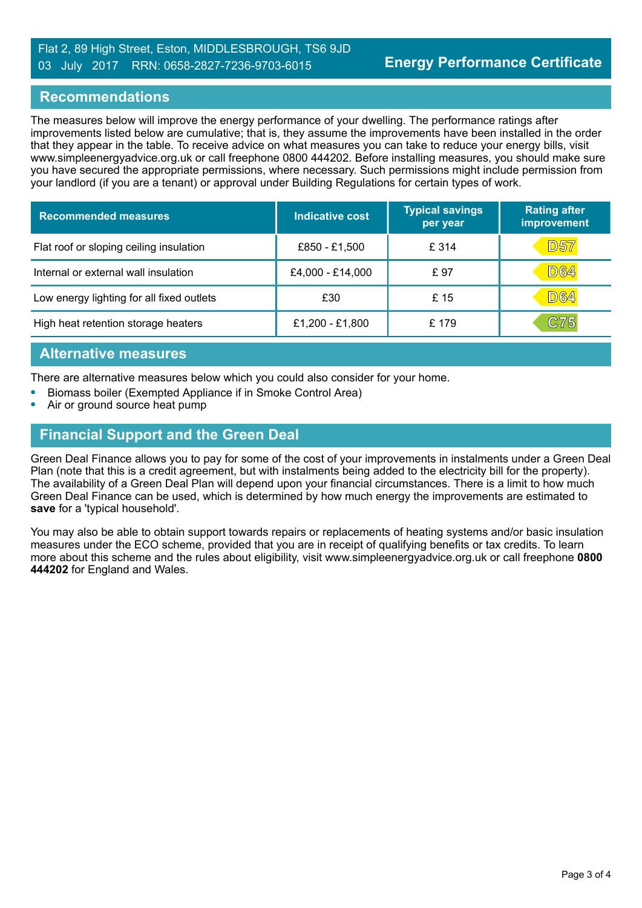#### Flat 2, 89 High Street, Eston, MIDDLESBROUGH, TS6 9JD 03 July 2017 RRN: 0658-2827-7236-9703-6015

### **Recommendations**

The measures below will improve the energy performance of your dwelling. The performance ratings after improvements listed below are cumulative; that is, they assume the improvements have been installed in the order that they appear in the table. To receive advice on what measures you can take to reduce your energy bills, visit www.simpleenergyadvice.org.uk or call freephone 0800 444202. Before installing measures, you should make sure you have secured the appropriate permissions, where necessary. Such permissions might include permission from your landlord (if you are a tenant) or approval under Building Regulations for certain types of work.

| <b>Recommended measures</b>               | <b>Indicative cost</b> | <b>Typical savings</b><br>per year | <b>Rating after</b><br>improvement |
|-------------------------------------------|------------------------|------------------------------------|------------------------------------|
| Flat roof or sloping ceiling insulation   | £850 - £1,500          | £ 314                              | <b>D57</b>                         |
| Internal or external wall insulation      | £4,000 - £14,000       | £97                                | <b>D64</b>                         |
| Low energy lighting for all fixed outlets | £30                    | £15                                | <b>D64</b>                         |
| High heat retention storage heaters       | £1,200 - £1,800        | £179                               | C75                                |

### **Alternative measures**

There are alternative measures below which you could also consider for your home.

- **•** Biomass boiler (Exempted Appliance if in Smoke Control Area)
- **•** Air or ground source heat pump

# **Financial Support and the Green Deal**

Green Deal Finance allows you to pay for some of the cost of your improvements in instalments under a Green Deal Plan (note that this is a credit agreement, but with instalments being added to the electricity bill for the property). The availability of a Green Deal Plan will depend upon your financial circumstances. There is a limit to how much Green Deal Finance can be used, which is determined by how much energy the improvements are estimated to **save** for a 'typical household'.

You may also be able to obtain support towards repairs or replacements of heating systems and/or basic insulation measures under the ECO scheme, provided that you are in receipt of qualifying benefits or tax credits. To learn more about this scheme and the rules about eligibility, visit www.simpleenergyadvice.org.uk or call freephone **0800 444202** for England and Wales.